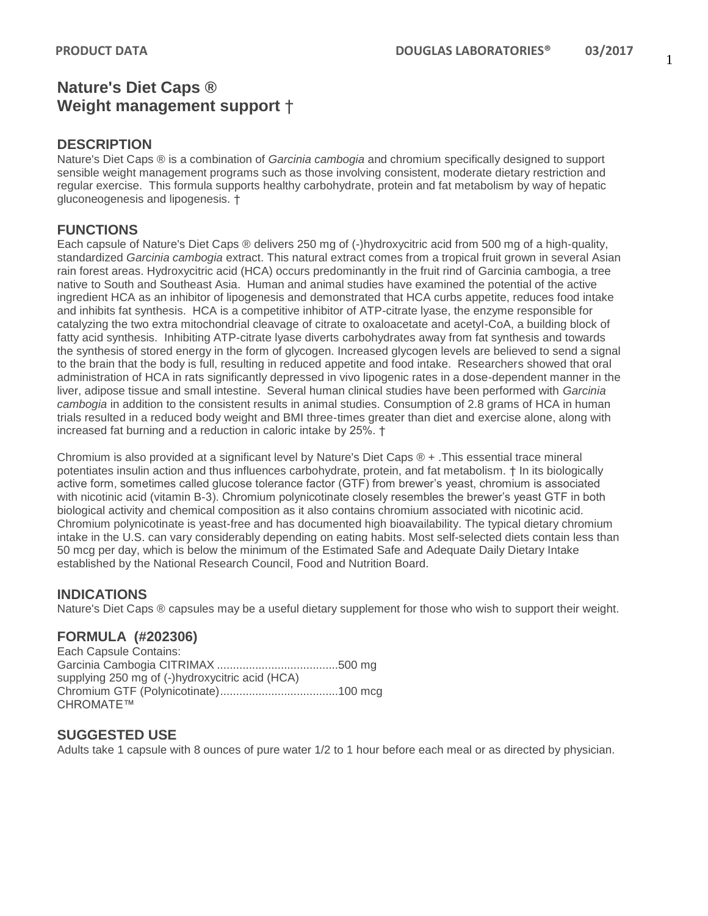#### 1

# **Nature's Diet Caps ® Weight management support** †

#### **DESCRIPTION**

Nature's Diet Caps ® is a combination of *Garcinia cambogia* and chromium specifically designed to support sensible weight management programs such as those involving consistent, moderate dietary restriction and regular exercise. This formula supports healthy carbohydrate, protein and fat metabolism by way of hepatic gluconeogenesis and lipogenesis. †

## **FUNCTIONS**

Each capsule of Nature's Diet Caps ® delivers 250 mg of (-)hydroxycitric acid from 500 mg of a high-quality, standardized *Garcinia cambogia* extract. This natural extract comes from a tropical fruit grown in several Asian rain forest areas. Hydroxycitric acid (HCA) occurs predominantly in the fruit rind of Garcinia cambogia, a tree native to South and Southeast Asia. Human and animal studies have examined the potential of the active ingredient HCA as an inhibitor of lipogenesis and demonstrated that HCA curbs appetite, reduces food intake and inhibits fat synthesis. HCA is a competitive inhibitor of ATP-citrate lyase, the enzyme responsible for catalyzing the two extra mitochondrial cleavage of citrate to oxaloacetate and acetyl-CoA, a building block of fatty acid synthesis. Inhibiting ATP-citrate lyase diverts carbohydrates away from fat synthesis and towards the synthesis of stored energy in the form of glycogen. Increased glycogen levels are believed to send a signal to the brain that the body is full, resulting in reduced appetite and food intake. Researchers showed that oral administration of HCA in rats significantly depressed in vivo lipogenic rates in a dose-dependent manner in the liver, adipose tissue and small intestine. Several human clinical studies have been performed with *Garcinia cambogia* in addition to the consistent results in animal studies. Consumption of 2.8 grams of HCA in human trials resulted in a reduced body weight and BMI three-times greater than diet and exercise alone, along with increased fat burning and a reduction in caloric intake by 25%. †

Chromium is also provided at a significant level by Nature's Diet Caps ® + .This essential trace mineral potentiates insulin action and thus influences carbohydrate, protein, and fat metabolism. † In its biologically active form, sometimes called glucose tolerance factor (GTF) from brewer's yeast, chromium is associated with nicotinic acid (vitamin B-3). Chromium polynicotinate closely resembles the brewer's yeast GTF in both biological activity and chemical composition as it also contains chromium associated with nicotinic acid. Chromium polynicotinate is yeast-free and has documented high bioavailability. The typical dietary chromium intake in the U.S. can vary considerably depending on eating habits. Most self-selected diets contain less than 50 mcg per day, which is below the minimum of the Estimated Safe and Adequate Daily Dietary Intake established by the National Research Council, Food and Nutrition Board.

### **INDICATIONS**

Nature's Diet Caps ® capsules may be a useful dietary supplement for those who wish to support their weight.

### **FORMULA (#202306)**

Each Capsule Contains: Garcinia Cambogia CITRIMAX ......................................500 mg supplying 250 mg of (-)hydroxycitric acid (HCA) Chromium GTF (Polynicotinate).....................................100 mcg CHROMATE™

### **SUGGESTED USE**

Adults take 1 capsule with 8 ounces of pure water 1/2 to 1 hour before each meal or as directed by physician.